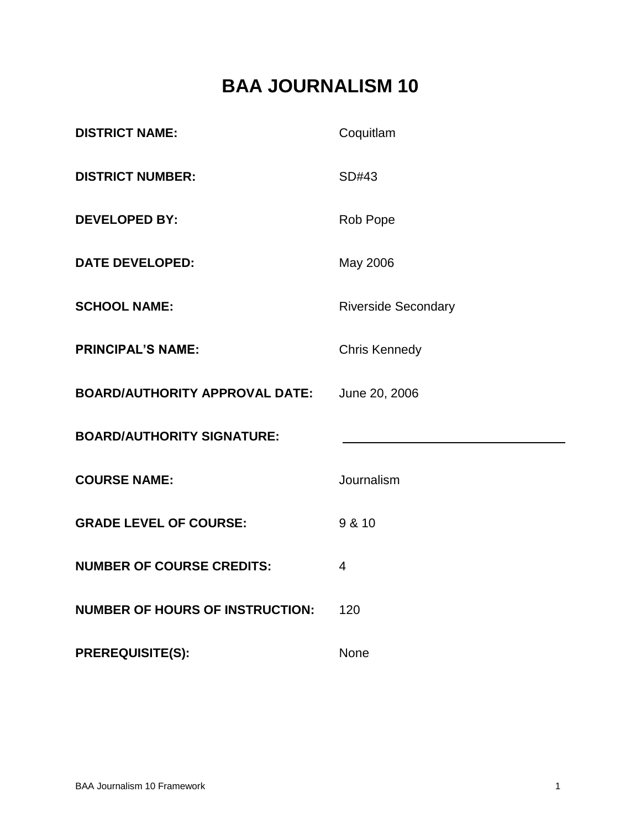# **BAA JOURNALISM 10**

| <b>DISTRICT NAME:</b>                  | Coquitlam                  |
|----------------------------------------|----------------------------|
| <b>DISTRICT NUMBER:</b>                | SD#43                      |
| <b>DEVELOPED BY:</b>                   | Rob Pope                   |
| <b>DATE DEVELOPED:</b>                 | May 2006                   |
| <b>SCHOOL NAME:</b>                    | <b>Riverside Secondary</b> |
| <b>PRINCIPAL'S NAME:</b>               | <b>Chris Kennedy</b>       |
| <b>BOARD/AUTHORITY APPROVAL DATE:</b>  | June 20, 2006              |
| <b>BOARD/AUTHORITY SIGNATURE:</b>      |                            |
| <b>COURSE NAME:</b>                    | Journalism                 |
| <b>GRADE LEVEL OF COURSE:</b>          | 9 & 10                     |
| <b>NUMBER OF COURSE CREDITS:</b>       | $\overline{4}$             |
| <b>NUMBER OF HOURS OF INSTRUCTION:</b> | 120                        |
| <b>PREREQUISITE(S):</b>                | None                       |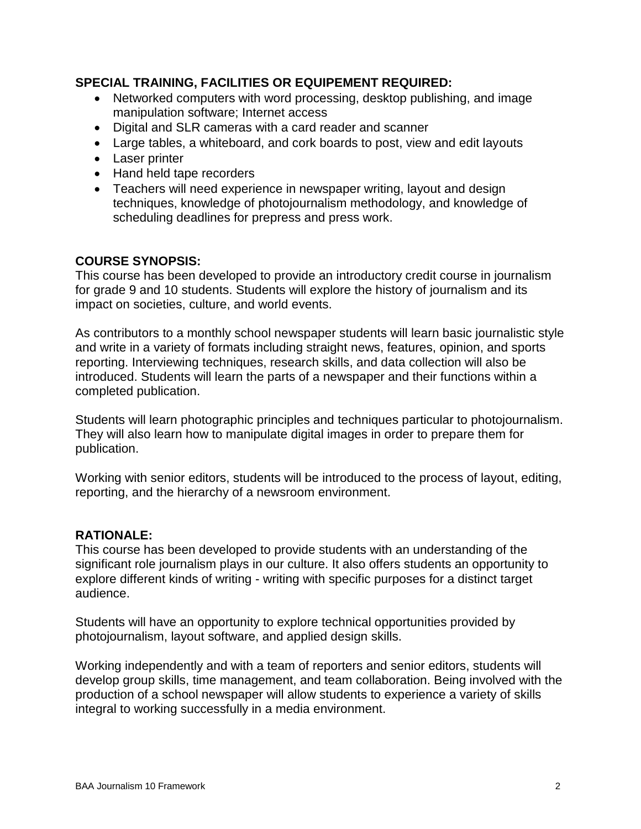# **SPECIAL TRAINING, FACILITIES OR EQUIPEMENT REQUIRED:**

- Networked computers with word processing, desktop publishing, and image manipulation software; Internet access
- Digital and SLR cameras with a card reader and scanner
- Large tables, a whiteboard, and cork boards to post, view and edit layouts
- Laser printer
- Hand held tape recorders
- Teachers will need experience in newspaper writing, layout and design techniques, knowledge of photojournalism methodology, and knowledge of scheduling deadlines for prepress and press work.

# **COURSE SYNOPSIS:**

This course has been developed to provide an introductory credit course in journalism for grade 9 and 10 students. Students will explore the history of journalism and its impact on societies, culture, and world events.

As contributors to a monthly school newspaper students will learn basic journalistic style and write in a variety of formats including straight news, features, opinion, and sports reporting. Interviewing techniques, research skills, and data collection will also be introduced. Students will learn the parts of a newspaper and their functions within a completed publication.

Students will learn photographic principles and techniques particular to photojournalism. They will also learn how to manipulate digital images in order to prepare them for publication.

Working with senior editors, students will be introduced to the process of layout, editing, reporting, and the hierarchy of a newsroom environment.

# **RATIONALE:**

This course has been developed to provide students with an understanding of the significant role journalism plays in our culture. It also offers students an opportunity to explore different kinds of writing - writing with specific purposes for a distinct target audience.

Students will have an opportunity to explore technical opportunities provided by photojournalism, layout software, and applied design skills.

Working independently and with a team of reporters and senior editors, students will develop group skills, time management, and team collaboration. Being involved with the production of a school newspaper will allow students to experience a variety of skills integral to working successfully in a media environment.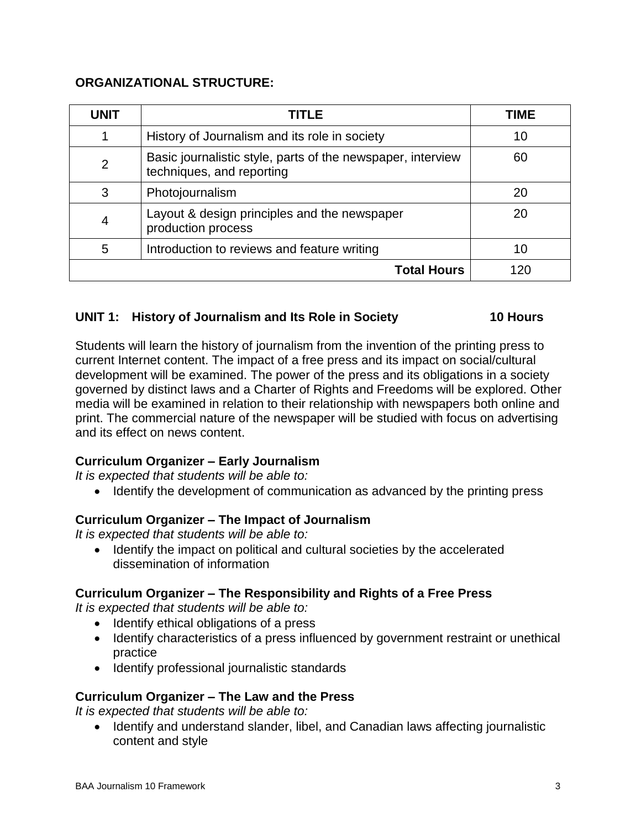# **ORGANIZATIONAL STRUCTURE:**

| <b>UNIT</b>        | TITLE                                                                                    | TIME |
|--------------------|------------------------------------------------------------------------------------------|------|
|                    | History of Journalism and its role in society                                            | 10   |
| $\overline{2}$     | Basic journalistic style, parts of the newspaper, interview<br>techniques, and reporting | 60   |
| 3                  | Photojournalism                                                                          | 20   |
| $\overline{4}$     | Layout & design principles and the newspaper<br>production process                       | 20   |
| 5                  | Introduction to reviews and feature writing                                              | 10   |
| <b>Total Hours</b> |                                                                                          | 120  |

# **UNIT 1: History of Journalism and Its Role in Society 10 Hours**

Students will learn the history of journalism from the invention of the printing press to current Internet content. The impact of a free press and its impact on social/cultural development will be examined. The power of the press and its obligations in a society governed by distinct laws and a Charter of Rights and Freedoms will be explored. Other media will be examined in relation to their relationship with newspapers both online and print. The commercial nature of the newspaper will be studied with focus on advertising and its effect on news content.

# **Curriculum Organizer – Early Journalism**

*It is expected that students will be able to:*

• Identify the development of communication as advanced by the printing press

# **Curriculum Organizer – The Impact of Journalism**

*It is expected that students will be able to:*

• Identify the impact on political and cultural societies by the accelerated dissemination of information

# **Curriculum Organizer – The Responsibility and Rights of a Free Press**

*It is expected that students will be able to:*

- Identify ethical obligations of a press
- Identify characteristics of a press influenced by government restraint or unethical practice
- Identify professional journalistic standards

# **Curriculum Organizer – The Law and the Press**

*It is expected that students will be able to:*

• Identify and understand slander, libel, and Canadian laws affecting journalistic content and style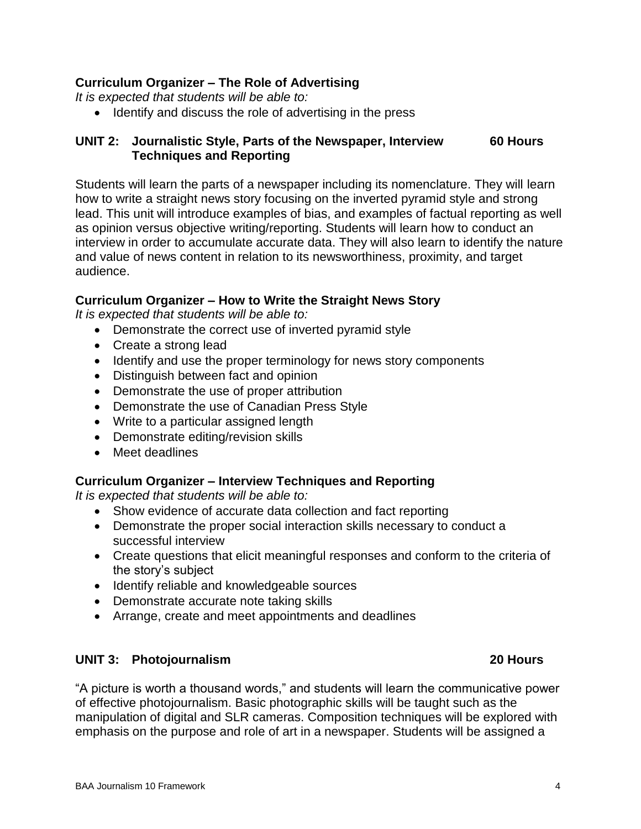BAA Journalism 10 Framework 4

### **Curriculum Organizer – The Role of Advertising**

*It is expected that students will be able to:*

• Identify and discuss the role of advertising in the press

# **UNIT 2: Journalistic Style, Parts of the Newspaper, Interview 60 Hours Techniques and Reporting**

Students will learn the parts of a newspaper including its nomenclature. They will learn how to write a straight news story focusing on the inverted pyramid style and strong lead. This unit will introduce examples of bias, and examples of factual reporting as well as opinion versus objective writing/reporting. Students will learn how to conduct an interview in order to accumulate accurate data. They will also learn to identify the nature and value of news content in relation to its newsworthiness, proximity, and target audience.

# **Curriculum Organizer – How to Write the Straight News Story**

*It is expected that students will be able to:*

- Demonstrate the correct use of inverted pyramid style
- Create a strong lead
- Identify and use the proper terminology for news story components
- Distinguish between fact and opinion
- Demonstrate the use of proper attribution
- Demonstrate the use of Canadian Press Style
- Write to a particular assigned length
- Demonstrate editing/revision skills
- Meet deadlines

### **Curriculum Organizer – Interview Techniques and Reporting**

*It is expected that students will be able to:*

- Show evidence of accurate data collection and fact reporting
- Demonstrate the proper social interaction skills necessary to conduct a successful interview
- Create questions that elicit meaningful responses and conform to the criteria of the story's subject
- Identify reliable and knowledgeable sources
- Demonstrate accurate note taking skills
- Arrange, create and meet appointments and deadlines

### **UNIT 3: Photojournalism 20 Hours**

"A picture is worth a thousand words," and students will learn the communicative power of effective photojournalism. Basic photographic skills will be taught such as the manipulation of digital and SLR cameras. Composition techniques will be explored with emphasis on the purpose and role of art in a newspaper. Students will be assigned a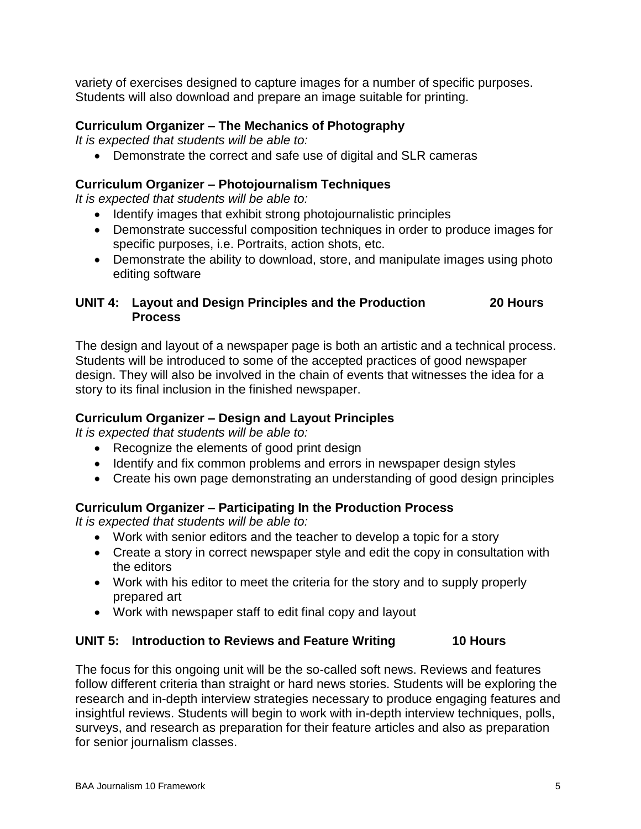variety of exercises designed to capture images for a number of specific purposes. Students will also download and prepare an image suitable for printing.

# **Curriculum Organizer – The Mechanics of Photography**

*It is expected that students will be able to:*

Demonstrate the correct and safe use of digital and SLR cameras

# **Curriculum Organizer – Photojournalism Techniques**

*It is expected that students will be able to:*

- Identify images that exhibit strong photojournalistic principles
- Demonstrate successful composition techniques in order to produce images for specific purposes, i.e. Portraits, action shots, etc.
- Demonstrate the ability to download, store, and manipulate images using photo editing software

# **UNIT 4: Layout and Design Principles and the Production 20 Hours Process**

The design and layout of a newspaper page is both an artistic and a technical process. Students will be introduced to some of the accepted practices of good newspaper design. They will also be involved in the chain of events that witnesses the idea for a story to its final inclusion in the finished newspaper.

# **Curriculum Organizer – Design and Layout Principles**

*It is expected that students will be able to:*

- Recognize the elements of good print design
- Identify and fix common problems and errors in newspaper design styles
- Create his own page demonstrating an understanding of good design principles

# **Curriculum Organizer – Participating In the Production Process**

*It is expected that students will be able to:*

- Work with senior editors and the teacher to develop a topic for a story
- Create a story in correct newspaper style and edit the copy in consultation with the editors
- Work with his editor to meet the criteria for the story and to supply properly prepared art
- Work with newspaper staff to edit final copy and layout

# **UNIT 5: Introduction to Reviews and Feature Writing 10 Hours**

The focus for this ongoing unit will be the so-called soft news. Reviews and features follow different criteria than straight or hard news stories. Students will be exploring the research and in-depth interview strategies necessary to produce engaging features and insightful reviews. Students will begin to work with in-depth interview techniques, polls, surveys, and research as preparation for their feature articles and also as preparation for senior journalism classes.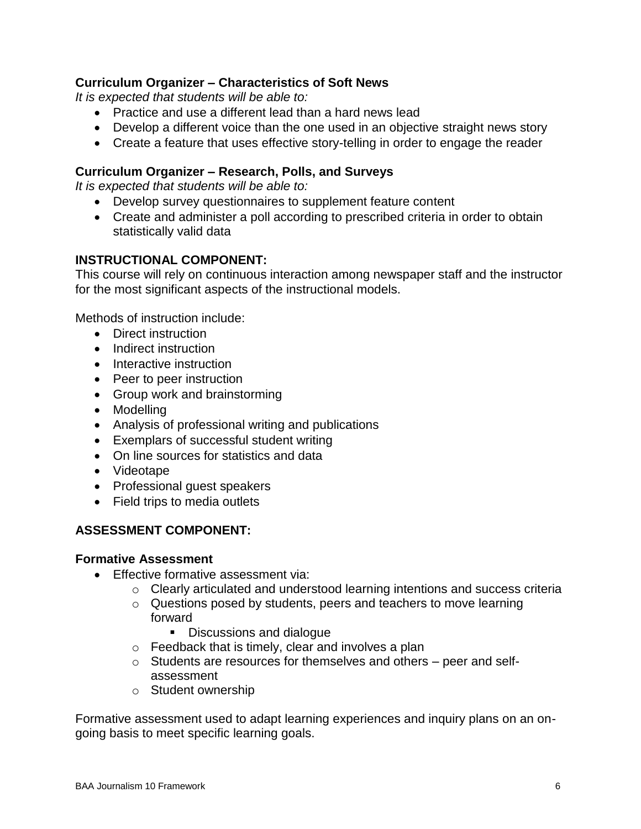# **Curriculum Organizer – Characteristics of Soft News**

*It is expected that students will be able to:*

- Practice and use a different lead than a hard news lead
- Develop a different voice than the one used in an objective straight news story
- Create a feature that uses effective story-telling in order to engage the reader

# **Curriculum Organizer – Research, Polls, and Surveys**

*It is expected that students will be able to:*

- Develop survey questionnaires to supplement feature content
- Create and administer a poll according to prescribed criteria in order to obtain statistically valid data

# **INSTRUCTIONAL COMPONENT:**

This course will rely on continuous interaction among newspaper staff and the instructor for the most significant aspects of the instructional models.

Methods of instruction include:

- Direct instruction
- Indirect instruction
- Interactive instruction
- Peer to peer instruction
- Group work and brainstorming
- Modelling
- Analysis of professional writing and publications
- Exemplars of successful student writing
- On line sources for statistics and data
- Videotape
- Professional quest speakers
- Field trips to media outlets

# **ASSESSMENT COMPONENT:**

# **Formative Assessment**

- Effective formative assessment via:
	- o Clearly articulated and understood learning intentions and success criteria
	- o Questions posed by students, peers and teachers to move learning forward
		- Discussions and dialogue
	- o Feedback that is timely, clear and involves a plan
	- o Students are resources for themselves and others peer and selfassessment
	- o Student ownership

Formative assessment used to adapt learning experiences and inquiry plans on an ongoing basis to meet specific learning goals.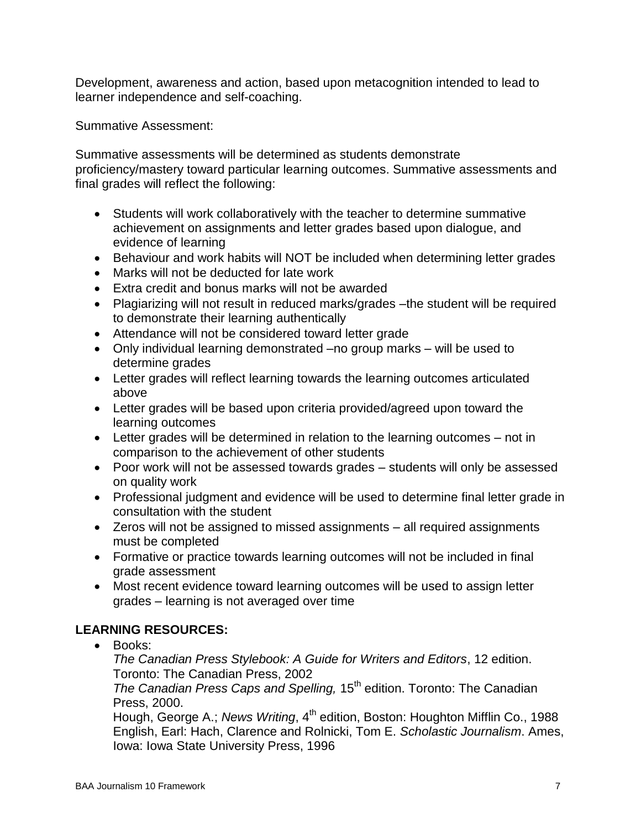Development, awareness and action, based upon metacognition intended to lead to learner independence and self-coaching.

Summative Assessment:

Summative assessments will be determined as students demonstrate proficiency/mastery toward particular learning outcomes. Summative assessments and final grades will reflect the following:

- Students will work collaboratively with the teacher to determine summative achievement on assignments and letter grades based upon dialogue, and evidence of learning
- Behaviour and work habits will NOT be included when determining letter grades
- Marks will not be deducted for late work
- Extra credit and bonus marks will not be awarded
- Plagiarizing will not result in reduced marks/grades the student will be required to demonstrate their learning authentically
- Attendance will not be considered toward letter grade
- Only individual learning demonstrated –no group marks will be used to determine grades
- Letter grades will reflect learning towards the learning outcomes articulated above
- Letter grades will be based upon criteria provided/agreed upon toward the learning outcomes
- Letter grades will be determined in relation to the learning outcomes not in comparison to the achievement of other students
- Poor work will not be assessed towards grades students will only be assessed on quality work
- Professional judgment and evidence will be used to determine final letter grade in consultation with the student
- Zeros will not be assigned to missed assignments all required assignments must be completed
- Formative or practice towards learning outcomes will not be included in final grade assessment
- Most recent evidence toward learning outcomes will be used to assign letter grades – learning is not averaged over time

# **LEARNING RESOURCES:**

• Books:

*The Canadian Press Stylebook: A Guide for Writers and Editors*, 12 edition. Toronto: The Canadian Press, 2002

*The Canadian Press Caps and Spelling,* 15<sup>th</sup> edition. Toronto: The Canadian Press, 2000.

Hough, George A.; *News Writing*, 4<sup>th</sup> edition, Boston: Houghton Mifflin Co., 1988 English, Earl: Hach, Clarence and Rolnicki, Tom E. *Scholastic Journalism*. Ames, Iowa: Iowa State University Press, 1996